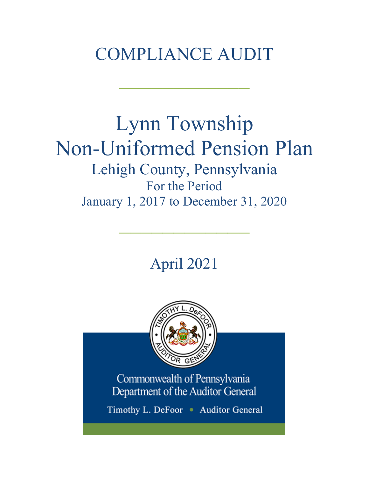# COMPLIANCE AUDIT

 $\frac{1}{2}$ 

# Lynn Township Non-Uniformed Pension Plan Lehigh County, Pennsylvania For the Period January 1, 2017 to December 31, 2020

April 2021

 $\frac{1}{2}$ 



Commonwealth of Pennsylvania Department of the Auditor General

Timothy L. DeFoor . Auditor General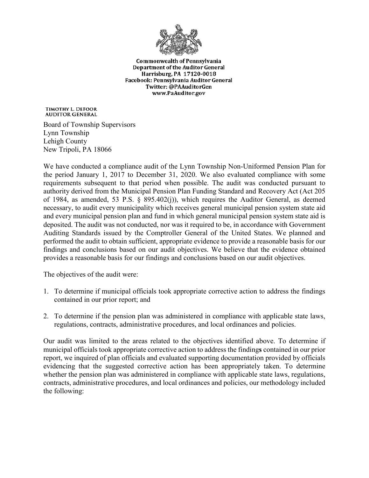

**Commonwealth of Pennsylvania** Department of the Auditor General Harrisburg, PA 17120-0018 Facebook: Pennsylvania Auditor General Twitter: @PAAuditorGen www.PaAuditor.gov

TIMOTHY L. DEFOOR **AUDITOR GENERAL** 

Board of Township Supervisors Lynn Township Lehigh County New Tripoli, PA 18066

We have conducted a compliance audit of the Lynn Township Non-Uniformed Pension Plan for the period January 1, 2017 to December 31, 2020. We also evaluated compliance with some requirements subsequent to that period when possible. The audit was conducted pursuant to authority derived from the Municipal Pension Plan Funding Standard and Recovery Act (Act 205 of 1984, as amended, 53 P.S. § 895.402(j)), which requires the Auditor General, as deemed necessary, to audit every municipality which receives general municipal pension system state aid and every municipal pension plan and fund in which general municipal pension system state aid is deposited. The audit was not conducted, nor was it required to be, in accordance with Government Auditing Standards issued by the Comptroller General of the United States. We planned and performed the audit to obtain sufficient, appropriate evidence to provide a reasonable basis for our findings and conclusions based on our audit objectives. We believe that the evidence obtained provides a reasonable basis for our findings and conclusions based on our audit objectives.

The objectives of the audit were:

- 1. To determine if municipal officials took appropriate corrective action to address the findings contained in our prior report; and
- 2. To determine if the pension plan was administered in compliance with applicable state laws, regulations, contracts, administrative procedures, and local ordinances and policies.

Our audit was limited to the areas related to the objectives identified above. To determine if municipal officials took appropriate corrective action to address the finding**s** contained in our prior report, we inquired of plan officials and evaluated supporting documentation provided by officials evidencing that the suggested corrective action has been appropriately taken. To determine whether the pension plan was administered in compliance with applicable state laws, regulations, contracts, administrative procedures, and local ordinances and policies, our methodology included the following: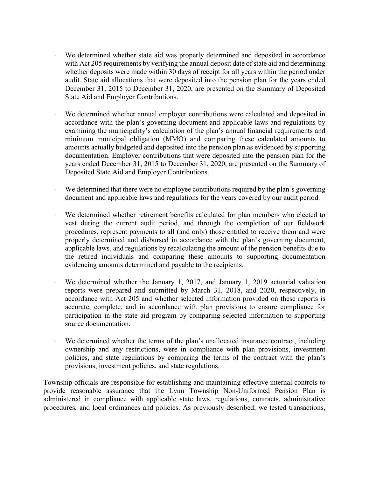- We determined whether state aid was properly determined and deposited in accordance with Act 205 requirements by verifying the annual deposit date of state aid and determining whether deposits were made within 30 days of receipt for all years within the period under audit. State aid allocations that were deposited into the pension plan for the years ended December 31, 2015 to December 31, 2020, are presented on the Summary of Deposited State Aid and Employer Contributions.
- We determined whether annual employer contributions were calculated and deposited in accordance with the plan's governing document and applicable laws and regulations by examining the municipality's calculation of the plan's annual financial requirements and minimum municipal obligation (MMO) and comparing these calculated amounts to amounts actually budgeted and deposited into the pension plan as evidenced by supporting documentation. Employer contributions that were deposited into the pension plan for the years ended December 31, 2015 to December 31, 2020, are presented on the Summary of Deposited State Aid and Employer Contributions.
- We determined that there were no employee contributions required by the plan's governing document and applicable laws and regulations for the years covered by our audit period.
- We determined whether retirement benefits calculated for plan members who elected to vest during the current audit period, and through the completion of our fieldwork procedures, represent payments to all (and only) those entitled to receive them and were properly determined and disbursed in accordance with the plan's governing document, applicable laws, and regulations by recalculating the amount of the pension benefits due to the retired individuals and comparing these amounts to supporting documentation evidencing amounts determined and payable to the recipients.
- We determined whether the January 1, 2017, and January 1, 2019 actuarial valuation reports were prepared and submitted by March 31, 2018, and 2020, respectively, in accordance with Act 205 and whether selected information provided on these reports is accurate, complete, and in accordance with plan provisions to ensure compliance for participation in the state aid program by comparing selected information to supporting source documentation.
- We determined whether the terms of the plan's unallocated insurance contract, including ownership and any restrictions, were in compliance with plan provisions, investment policies, and state regulations by comparing the terms of the contract with the plan's provisions, investment policies, and state regulations.

Township officials are responsible for establishing and maintaining effective internal controls to provide reasonable assurance that the Lynn Township Non-Uniformed Pension Plan is administered in compliance with applicable state laws, regulations, contracts, administrative procedures, and local ordinances and policies. As previously described, we tested transactions,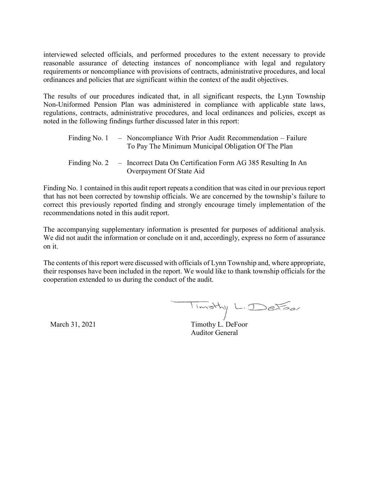interviewed selected officials, and performed procedures to the extent necessary to provide reasonable assurance of detecting instances of noncompliance with legal and regulatory requirements or noncompliance with provisions of contracts, administrative procedures, and local ordinances and policies that are significant within the context of the audit objectives.

The results of our procedures indicated that, in all significant respects, the Lynn Township Non-Uniformed Pension Plan was administered in compliance with applicable state laws, regulations, contracts, administrative procedures, and local ordinances and policies, except as noted in the following findings further discussed later in this report:

| Finding No. 1 | - Noncompliance With Prior Audit Recommendation - Failure<br>To Pay The Minimum Municipal Obligation Of The Plan |
|---------------|------------------------------------------------------------------------------------------------------------------|
| Finding No. 2 | - Incorrect Data On Certification Form AG 385 Resulting In An<br>Overpayment Of State Aid                        |

Finding No. 1 contained in this audit report repeats a condition that was cited in our previous report that has not been corrected by township officials. We are concerned by the township's failure to correct this previously reported finding and strongly encourage timely implementation of the recommendations noted in this audit report.

The accompanying supplementary information is presented for purposes of additional analysis. We did not audit the information or conclude on it and, accordingly, express no form of assurance on it.

The contents of this report were discussed with officials of Lynn Township and, where appropriate, their responses have been included in the report. We would like to thank township officials for the cooperation extended to us during the conduct of the audit.

Timothy L. DeFoor

March 31, 2021 Timothy L. DeFoor Auditor General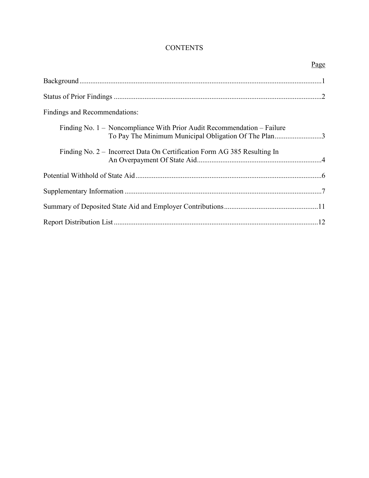# **CONTENTS**

| Page                                                                                                                            |
|---------------------------------------------------------------------------------------------------------------------------------|
|                                                                                                                                 |
|                                                                                                                                 |
| Findings and Recommendations:                                                                                                   |
| Finding No. 1 – Noncompliance With Prior Audit Recommendation – Failure<br>To Pay The Minimum Municipal Obligation Of The Plan3 |
| Finding No. 2 – Incorrect Data On Certification Form AG 385 Resulting In                                                        |
|                                                                                                                                 |
|                                                                                                                                 |
|                                                                                                                                 |
|                                                                                                                                 |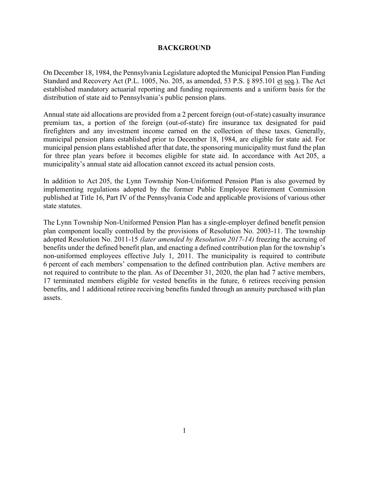#### **BACKGROUND**

On December 18, 1984, the Pennsylvania Legislature adopted the Municipal Pension Plan Funding Standard and Recovery Act (P.L. 1005, No. 205, as amended, 53 P.S. § 895.101 et seq.). The Act established mandatory actuarial reporting and funding requirements and a uniform basis for the distribution of state aid to Pennsylvania's public pension plans.

Annual state aid allocations are provided from a 2 percent foreign (out-of-state) casualty insurance premium tax, a portion of the foreign (out-of-state) fire insurance tax designated for paid firefighters and any investment income earned on the collection of these taxes. Generally, municipal pension plans established prior to December 18, 1984, are eligible for state aid. For municipal pension plans established after that date, the sponsoring municipality must fund the plan for three plan years before it becomes eligible for state aid. In accordance with Act 205, a municipality's annual state aid allocation cannot exceed its actual pension costs.

In addition to Act 205, the Lynn Township Non-Uniformed Pension Plan is also governed by implementing regulations adopted by the former Public Employee Retirement Commission published at Title 16, Part IV of the Pennsylvania Code and applicable provisions of various other state statutes.

The Lynn Township Non-Uniformed Pension Plan has a single-employer defined benefit pension plan component locally controlled by the provisions of Resolution No. 2003-11. The township adopted Resolution No. 2011-15 *(later amended by Resolution 2017-14)* freezing the accruing of benefits under the defined benefit plan, and enacting a defined contribution plan for the township's non-uniformed employees effective July 1, 2011. The municipality is required to contribute 6 percent of each members' compensation to the defined contribution plan. Active members are not required to contribute to the plan. As of December 31, 2020, the plan had 7 active members, 17 terminated members eligible for vested benefits in the future, 6 retirees receiving pension benefits, and 1 additional retiree receiving benefits funded through an annuity purchased with plan assets.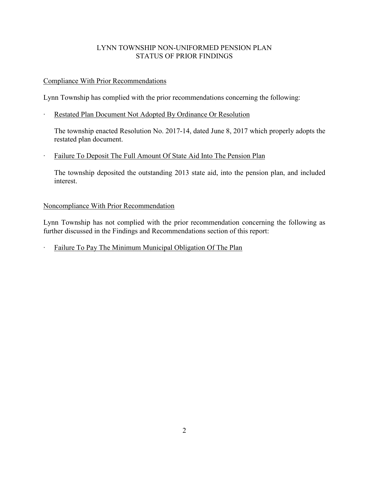# LYNN TOWNSHIP NON-UNIFORMED PENSION PLAN STATUS OF PRIOR FINDINGS

# Compliance With Prior Recommendations

Lynn Township has complied with the prior recommendations concerning the following:

∙ Restated Plan Document Not Adopted By Ordinance Or Resolution

The township enacted Resolution No. 2017-14, dated June 8, 2017 which properly adopts the restated plan document.

∙ Failure To Deposit The Full Amount Of State Aid Into The Pension Plan

The township deposited the outstanding 2013 state aid, into the pension plan, and included interest.

# Noncompliance With Prior Recommendation

Lynn Township has not complied with the prior recommendation concerning the following as further discussed in the Findings and Recommendations section of this report:

∙ Failure To Pay The Minimum Municipal Obligation Of The Plan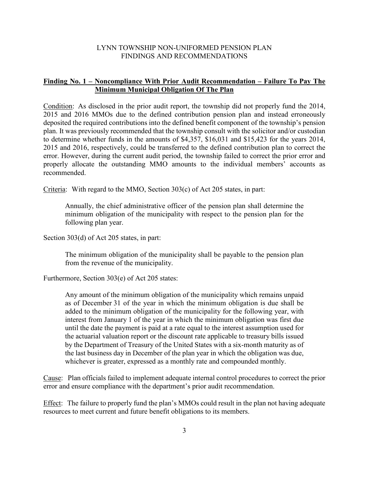#### LYNN TOWNSHIP NON-UNIFORMED PENSION PLAN FINDINGS AND RECOMMENDATIONS

#### **Finding No. 1 – Noncompliance With Prior Audit Recommendation – Failure To Pay The Minimum Municipal Obligation Of The Plan**

Condition: As disclosed in the prior audit report, the township did not properly fund the 2014, 2015 and 2016 MMOs due to the defined contribution pension plan and instead erroneously deposited the required contributions into the defined benefit component of the township's pension plan. It was previously recommended that the township consult with the solicitor and/or custodian to determine whether funds in the amounts of \$4,357, \$16,031 and \$15,423 for the years 2014, 2015 and 2016, respectively, could be transferred to the defined contribution plan to correct the error. However, during the current audit period, the township failed to correct the prior error and properly allocate the outstanding MMO amounts to the individual members' accounts as recommended.

Criteria: With regard to the MMO, Section 303(c) of Act 205 states, in part:

Annually, the chief administrative officer of the pension plan shall determine the minimum obligation of the municipality with respect to the pension plan for the following plan year.

Section 303(d) of Act 205 states, in part:

The minimum obligation of the municipality shall be payable to the pension plan from the revenue of the municipality.

Furthermore, Section 303(e) of Act 205 states:

Any amount of the minimum obligation of the municipality which remains unpaid as of December 31 of the year in which the minimum obligation is due shall be added to the minimum obligation of the municipality for the following year, with interest from January 1 of the year in which the minimum obligation was first due until the date the payment is paid at a rate equal to the interest assumption used for the actuarial valuation report or the discount rate applicable to treasury bills issued by the Department of Treasury of the United States with a six-month maturity as of the last business day in December of the plan year in which the obligation was due, whichever is greater, expressed as a monthly rate and compounded monthly.

Cause: Plan officials failed to implement adequate internal control procedures to correct the prior error and ensure compliance with the department's prior audit recommendation.

Effect: The failure to properly fund the plan's MMOs could result in the plan not having adequate resources to meet current and future benefit obligations to its members.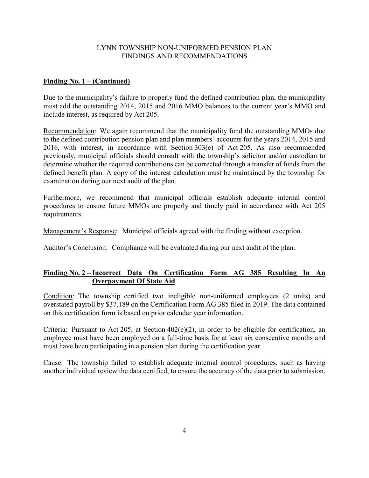#### LYNN TOWNSHIP NON-UNIFORMED PENSION PLAN FINDINGS AND RECOMMENDATIONS

#### **Finding No. 1 – (Continued)**

Due to the municipality's failure to properly fund the defined contribution plan, the municipality must add the outstanding 2014, 2015 and 2016 MMO balances to the current year's MMO and include interest, as required by Act 205.

Recommendation: We again recommend that the municipality fund the outstanding MMOs due to the defined contribution pension plan and plan members' accounts for the years 2014, 2015 and 2016, with interest, in accordance with Section 303(e) of Act 205. As also recommended previously, municipal officials should consult with the township's solicitor and/or custodian to determine whether the required contributions can be corrected through a transfer of funds from the defined benefit plan. A copy of the interest calculation must be maintained by the township for examination during our next audit of the plan.

Furthermore, we recommend that municipal officials establish adequate internal control procedures to ensure future MMOs are properly and timely paid in accordance with Act 205 requirements.

Management's Response: Municipal officials agreed with the finding without exception.

Auditor's Conclusion: Compliance will be evaluated during our next audit of the plan.

# **Finding No. 2 – Incorrect Data On Certification Form AG 385 Resulting In An Overpayment Of State Aid**

Condition: The township certified two ineligible non-uniformed employees (2 units) and overstated payroll by \$37,189 on the Certification Form AG 385 filed in 2019. The data contained on this certification form is based on prior calendar year information.

Criteria: Pursuant to Act 205, at Section 402(e)(2), in order to be eligible for certification, an employee must have been employed on a full-time basis for at least six consecutive months and must have been participating in a pension plan during the certification year.

Cause: The township failed to establish adequate internal control procedures, such as having another individual review the data certified, to ensure the accuracy of the data prior to submission.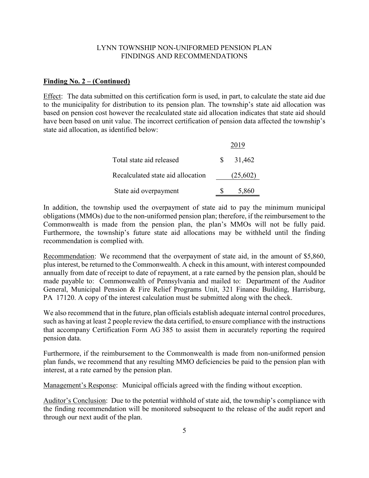#### LYNN TOWNSHIP NON-UNIFORMED PENSION PLAN FINDINGS AND RECOMMENDATIONS

#### **Finding No. 2 – (Continued)**

Effect: The data submitted on this certification form is used, in part, to calculate the state aid due to the municipality for distribution to its pension plan. The township's state aid allocation was based on pension cost however the recalculated state aid allocation indicates that state aid should have been based on unit value. The incorrect certification of pension data affected the township's state aid allocation, as identified below:

|                                   | 2019     |
|-----------------------------------|----------|
| Total state aid released          | 31,462   |
| Recalculated state aid allocation | (25,602) |
| State aid overpayment             | 5,860    |

In addition, the township used the overpayment of state aid to pay the minimum municipal obligations (MMOs) due to the non-uniformed pension plan; therefore, if the reimbursement to the Commonwealth is made from the pension plan, the plan's MMOs will not be fully paid. Furthermore, the township's future state aid allocations may be withheld until the finding recommendation is complied with.

Recommendation: We recommend that the overpayment of state aid, in the amount of \$5,860, plus interest, be returned to the Commonwealth. A check in this amount, with interest compounded annually from date of receipt to date of repayment, at a rate earned by the pension plan, should be made payable to: Commonwealth of Pennsylvania and mailed to: Department of the Auditor General, Municipal Pension & Fire Relief Programs Unit, 321 Finance Building, Harrisburg, PA 17120. A copy of the interest calculation must be submitted along with the check.

We also recommend that in the future, plan officials establish adequate internal control procedures, such as having at least 2 people review the data certified, to ensure compliance with the instructions that accompany Certification Form AG 385 to assist them in accurately reporting the required pension data.

Furthermore, if the reimbursement to the Commonwealth is made from non-uniformed pension plan funds, we recommend that any resulting MMO deficiencies be paid to the pension plan with interest, at a rate earned by the pension plan.

Management's Response: Municipal officials agreed with the finding without exception.

Auditor's Conclusion: Due to the potential withhold of state aid, the township's compliance with the finding recommendation will be monitored subsequent to the release of the audit report and through our next audit of the plan.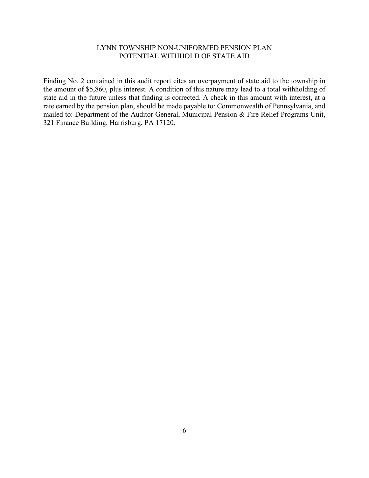#### LYNN TOWNSHIP NON-UNIFORMED PENSION PLAN POTENTIAL WITHHOLD OF STATE AID

Finding No. 2 contained in this audit report cites an overpayment of state aid to the township in the amount of \$5,860, plus interest. A condition of this nature may lead to a total withholding of state aid in the future unless that finding is corrected. A check in this amount with interest, at a rate earned by the pension plan, should be made payable to: Commonwealth of Pennsylvania, and mailed to: Department of the Auditor General, Municipal Pension & Fire Relief Programs Unit, 321 Finance Building, Harrisburg, PA 17120.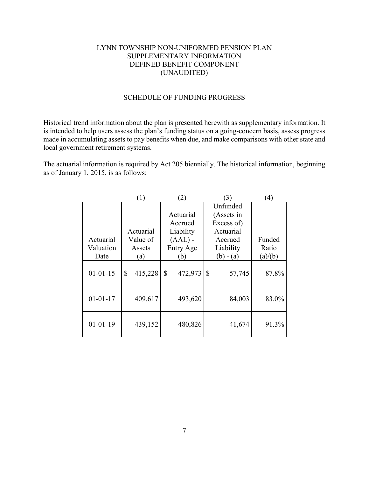### LYNN TOWNSHIP NON-UNIFORMED PENSION PLAN SUPPLEMENTARY INFORMATION DEFINED BENEFIT COMPONENT (UNAUDITED)

#### SCHEDULE OF FUNDING PROGRESS

Historical trend information about the plan is presented herewith as supplementary information. It is intended to help users assess the plan's funding status on a going-concern basis, assess progress made in accumulating assets to pay benefits when due, and make comparisons with other state and local government retirement systems.

The actuarial information is required by Act 205 biennially. The historical information, beginning as of January 1, 2015, is as follows:

|                | $\left(1\right)$ | (2)           | 3)                     | $\left( 4\right)$ |
|----------------|------------------|---------------|------------------------|-------------------|
|                |                  |               | Unfunded               |                   |
|                |                  | Actuarial     | (Assets in             |                   |
|                |                  | Accrued       | Excess of)             |                   |
|                | Actuarial        | Liability     | Actuarial              |                   |
| Actuarial      | Value of         | $(AAL)$ -     | Accrued                | Funded            |
| Valuation      | Assets           | Entry Age     | Liability              | Ratio             |
| Date           | (a)              | (b)           | $(b) - (a)$            | (a)/(b)           |
| $01 - 01 - 15$ | 415,228<br>\$    | 472,973<br>\$ | $\mathbb{S}$<br>57,745 | 87.8%             |
| $01 - 01 - 17$ | 409,617          | 493,620       | 84,003                 | 83.0%             |
| $01 - 01 - 19$ | 439,152          | 480,826       | 41,674                 | 91.3%             |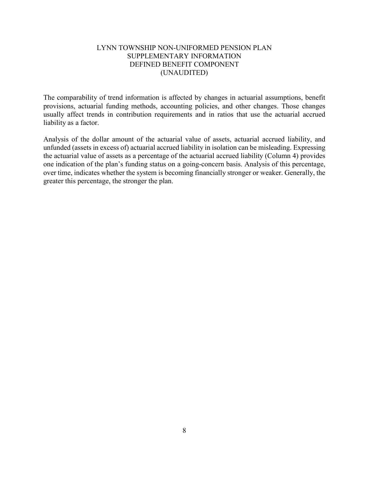### LYNN TOWNSHIP NON-UNIFORMED PENSION PLAN SUPPLEMENTARY INFORMATION DEFINED BENEFIT COMPONENT (UNAUDITED)

The comparability of trend information is affected by changes in actuarial assumptions, benefit provisions, actuarial funding methods, accounting policies, and other changes. Those changes usually affect trends in contribution requirements and in ratios that use the actuarial accrued liability as a factor.

Analysis of the dollar amount of the actuarial value of assets, actuarial accrued liability, and unfunded (assets in excess of) actuarial accrued liability in isolation can be misleading. Expressing the actuarial value of assets as a percentage of the actuarial accrued liability (Column 4) provides one indication of the plan's funding status on a going-concern basis. Analysis of this percentage, over time, indicates whether the system is becoming financially stronger or weaker. Generally, the greater this percentage, the stronger the plan.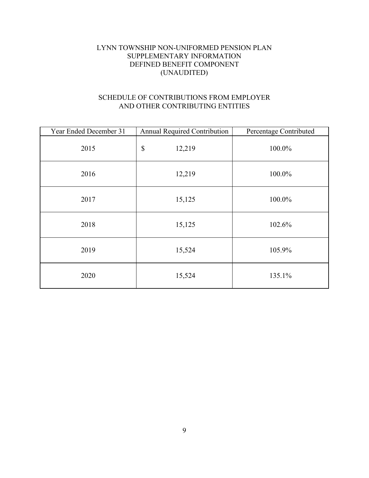# LYNN TOWNSHIP NON-UNIFORMED PENSION PLAN SUPPLEMENTARY INFORMATION DEFINED BENEFIT COMPONENT (UNAUDITED)

# SCHEDULE OF CONTRIBUTIONS FROM EMPLOYER AND OTHER CONTRIBUTING ENTITIES

| Year Ended December 31 | Annual Required Contribution | Percentage Contributed |
|------------------------|------------------------------|------------------------|
| 2015                   | \$<br>12,219                 | 100.0%                 |
| 2016                   | 12,219                       | 100.0%                 |
| 2017                   | 15,125                       | 100.0%                 |
| 2018                   | 15,125                       | 102.6%                 |
| 2019                   | 15,524                       | 105.9%                 |
| 2020                   | 15,524                       | 135.1%                 |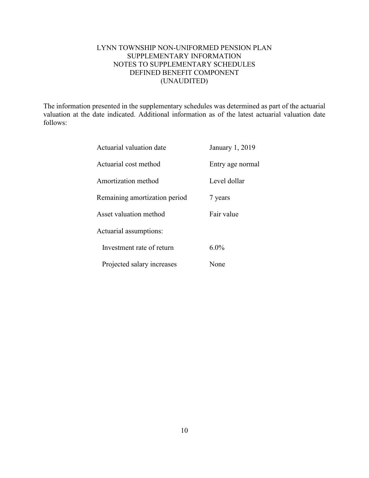# LYNN TOWNSHIP NON-UNIFORMED PENSION PLAN SUPPLEMENTARY INFORMATION NOTES TO SUPPLEMENTARY SCHEDULES DEFINED BENEFIT COMPONENT (UNAUDITED)

The information presented in the supplementary schedules was determined as part of the actuarial valuation at the date indicated. Additional information as of the latest actuarial valuation date follows:

| Actuarial valuation date      | January 1, 2019  |
|-------------------------------|------------------|
| Actuarial cost method         | Entry age normal |
| Amortization method           | Level dollar     |
| Remaining amortization period | 7 years          |
| Asset valuation method        | Fair value       |
| Actuarial assumptions:        |                  |
| Investment rate of return     | $6.0\%$          |
| Projected salary increases    | None             |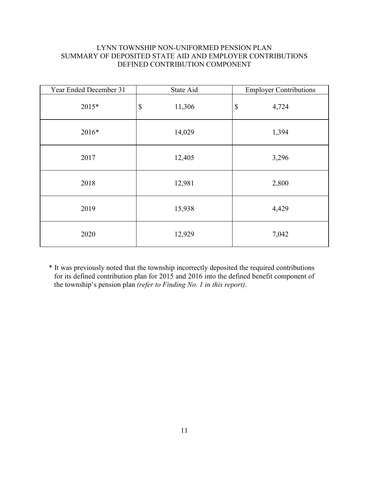# LYNN TOWNSHIP NON-UNIFORMED PENSION PLAN SUMMARY OF DEPOSITED STATE AID AND EMPLOYER CONTRIBUTIONS DEFINED CONTRIBUTION COMPONENT

| Year Ended December 31 | State Aid                           | <b>Employer Contributions</b>      |
|------------------------|-------------------------------------|------------------------------------|
| 2015*                  | $\boldsymbol{\mathsf{S}}$<br>11,306 | 4,724<br>$\boldsymbol{\mathsf{S}}$ |
| 2016*                  | 14,029                              | 1,394                              |
| 2017                   | 12,405                              | 3,296                              |
| 2018                   | 12,981                              | 2,800                              |
| 2019                   | 15,938                              | 4,429                              |
| 2020                   | 12,929                              | 7,042                              |

\* It was previously noted that the township incorrectly deposited the required contributions for its defined contribution plan for 2015 and 2016 into the defined benefit component of the township's pension plan *(refer to Finding No. 1 in this report)*.